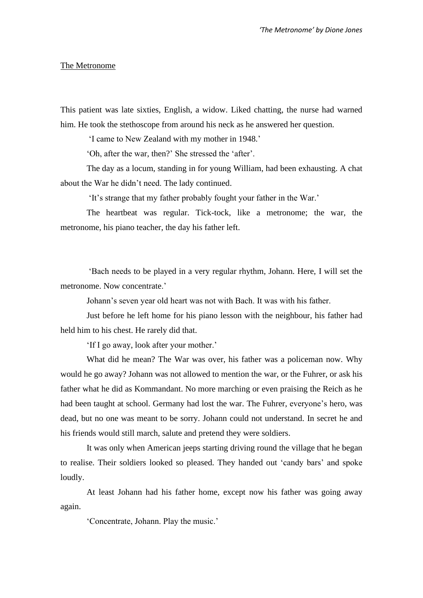## The Metronome

This patient was late sixties, English, a widow. Liked chatting, the nurse had warned him. He took the stethoscope from around his neck as he answered her question.

'I came to New Zealand with my mother in 1948.'

'Oh, after the war, then?' She stressed the 'after'.

The day as a locum, standing in for young William, had been exhausting. A chat about the War he didn't need. The lady continued.

'It's strange that my father probably fought your father in the War.'

The heartbeat was regular. Tick-tock, like a metronome; the war, the metronome, his piano teacher, the day his father left.

'Bach needs to be played in a very regular rhythm, Johann. Here, I will set the metronome. Now concentrate.'

Johann's seven year old heart was not with Bach. It was with his father.

Just before he left home for his piano lesson with the neighbour, his father had held him to his chest. He rarely did that.

'If I go away, look after your mother.'

What did he mean? The War was over, his father was a policeman now. Why would he go away? Johann was not allowed to mention the war, or the Fuhrer, or ask his father what he did as Kommandant. No more marching or even praising the Reich as he had been taught at school. Germany had lost the war. The Fuhrer, everyone's hero, was dead, but no one was meant to be sorry. Johann could not understand. In secret he and his friends would still march, salute and pretend they were soldiers.

It was only when American jeeps starting driving round the village that he began to realise. Their soldiers looked so pleased. They handed out 'candy bars' and spoke loudly.

At least Johann had his father home, except now his father was going away again.

'Concentrate, Johann. Play the music.'